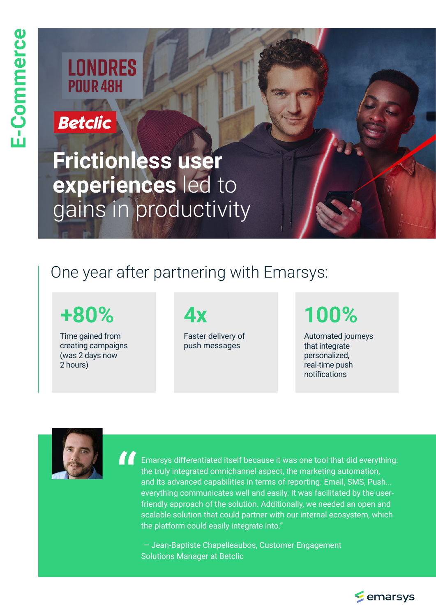# **LONDRES POUR 48H**

## **Betclic**

**Frictionless user experiences** led to gains in productivity

# One year after partnering with Emarsys:

# **+80% 4x 100%**

Time gained from creating campaigns (was 2 days now 2 hours)

Faster delivery of push messages

Automated journeys that integrate personalized, real-time push notifications



"

Emarsys differentiated itself because it was one tool that did everything: the truly integrated omnichannel aspect, the marketing automation, and its advanced capabilities in terms of reporting. Email, SMS, Push... everything communicates well and easily. It was facilitated by the userfriendly approach of the solution. Additionally, we needed an open and scalable solution that could partner with our internal ecosystem, which the platform could easily integrate into."

 — Jean-Baptiste Chapelleaubos, Customer Engagement Solutions Manager at Betclic